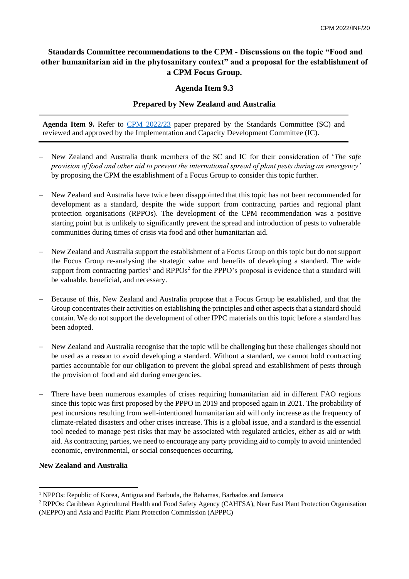# **Standards Committee recommendations to the CPM - Discussions on the topic "Food and other humanitarian aid in the phytosanitary context" and a proposal for the establishment of a CPM Focus Group.**

## **Agenda Item 9.3**

### **Prepared by New Zealand and Australia**

**Agenda Item 9.** Refer to [CPM 2022/23](https://assets.ippc.int/static/media/files/publication/en/2022/02/23_CPM_2022_SCRecomendations_SafeProvision_FoodHumanitarian_Aid-2022-02-02.pdf) paper prepared by the Standards Committee (SC) and reviewed and approved by the Implementation and Capacity Development Committee (IC).

- New Zealand and Australia thank members of the SC and IC for their consideration of '*The safe provision of food and other aid to prevent the international spread of plant pests during an emergency'*  by proposing the CPM the establishment of a Focus Group to consider this topic further.
- New Zealand and Australia have twice been disappointed that this topic has not been recommended for development as a standard, despite the wide support from contracting parties and regional plant protection organisations (RPPOs). The development of the CPM recommendation was a positive starting point but is unlikely to significantly prevent the spread and introduction of pests to vulnerable communities during times of crisis via food and other humanitarian aid.
- New Zealand and Australia support the establishment of a Focus Group on this topic but do not support the Focus Group re-analysing the strategic value and benefits of developing a standard. The wide support from contracting parties<sup>1</sup> and RPPOs<sup>2</sup> for the PPPO's proposal is evidence that a standard will be valuable, beneficial, and necessary.
- Because of this, New Zealand and Australia propose that a Focus Group be established, and that the Group concentrates their activities on establishing the principles and other aspects that a standard should contain. We do not support the development of other IPPC materials on this topic before a standard has been adopted.
- New Zealand and Australia recognise that the topic will be challenging but these challenges should not be used as a reason to avoid developing a standard. Without a standard, we cannot hold contracting parties accountable for our obligation to prevent the global spread and establishment of pests through the provision of food and aid during emergencies.
- There have been numerous examples of crises requiring humanitarian aid in different FAO regions since this topic was first proposed by the PPPO in 2019 and proposed again in 2021. The probability of pest incursions resulting from well-intentioned humanitarian aid will only increase as the frequency of climate-related disasters and other crises increase. This is a global issue, and a standard is the essential tool needed to manage pest risks that may be associated with regulated articles, either as aid or with aid. As contracting parties, we need to encourage any party providing aid to comply to avoid unintended economic, environmental, or social consequences occurring.

#### **New Zealand and Australia**

 $\overline{\phantom{a}}$ 

<sup>1</sup> NPPOs: Republic of Korea, Antigua and Barbuda, the Bahamas, Barbados and Jamaica

<sup>2</sup> RPPOs: Caribbean Agricultural Health and Food Safety Agency (CAHFSA), Near East Plant Protection Organisation (NEPPO) and Asia and Pacific Plant Protection Commission (APPPC)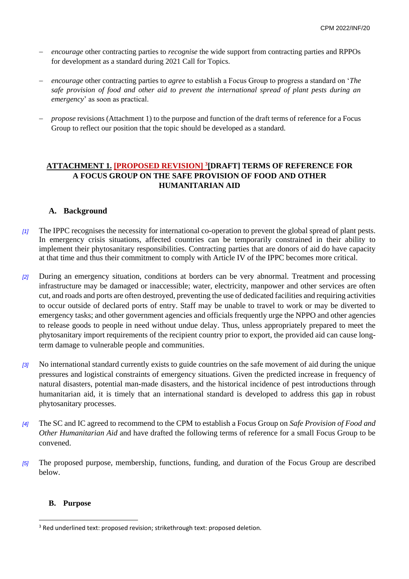- *encourage* other contracting parties to *recognise* the wide support from contracting parties and RPPOs for development as a standard during 2021 Call for Topics.
- *encourage* other contracting parties to *agree* to establish a Focus Group to progress a standard on '*The safe provision of food and other aid to prevent the international spread of plant pests during an emergency*' as soon as practical.
- *propose* revisions (Attachment 1) to the purpose and function of the draft terms of reference for a Focus Group to reflect our position that the topic should be developed as a standard.

## **ATTACHMENT 1. [PROPOSED REVISION] <sup>3</sup> [DRAFT] TERMS OF REFERENCE FOR A FOCUS GROUP ON THE SAFE PROVISION OF FOOD AND OTHER HUMANITARIAN AID**

## **A. Background**

- *[1]* The IPPC recognises the necessity for international co-operation to prevent the global spread of plant pests. In emergency crisis situations, affected countries can be temporarily constrained in their ability to implement their phytosanitary responsibilities. Contracting parties that are donors of aid do have capacity at that time and thus their commitment to comply with Article IV of the IPPC becomes more critical.
- *[2]* During an emergency situation, conditions at borders can be very abnormal. Treatment and processing infrastructure may be damaged or inaccessible; water, electricity, manpower and other services are often cut, and roads and ports are often destroyed, preventing the use of dedicated facilities and requiring activities to occur outside of declared ports of entry. Staff may be unable to travel to work or may be diverted to emergency tasks; and other government agencies and officials frequently urge the NPPO and other agencies to release goods to people in need without undue delay. Thus, unless appropriately prepared to meet the phytosanitary import requirements of the recipient country prior to export, the provided aid can cause longterm damage to vulnerable people and communities.
- *[3]* No international standard currently exists to guide countries on the safe movement of aid during the unique pressures and logistical constraints of emergency situations. Given the predicted increase in frequency of natural disasters, potential man-made disasters, and the historical incidence of pest introductions through humanitarian aid, it is timely that an international standard is developed to address this gap in robust phytosanitary processes.
- *[4]* The SC and IC agreed to recommend to the CPM to establish a Focus Group on *Safe Provision of Food and Other Humanitarian Aid* and have drafted the following terms of reference for a small Focus Group to be convened.
- *[5]* The proposed purpose, membership, functions, funding, and duration of the Focus Group are described below.

#### **B. Purpose**

 $\overline{\phantom{a}}$ 

<sup>&</sup>lt;sup>3</sup> Red underlined text: proposed revision; strikethrough text: proposed deletion.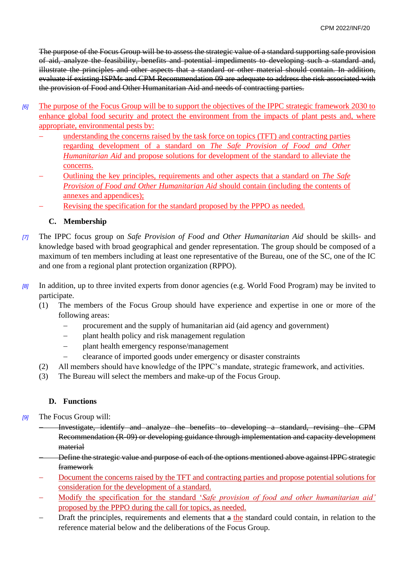The purpose of the Focus Group will be to assess the strategic value of a standard supporting safe provision of aid, analyze the feasibility, benefits and potential impediments to developing such a standard and, illustrate the principles and other aspects that a standard or other material should contain. In addition, evaluate if existing ISPMs and CPM Recommendation 09 are adequate to address the risk associated with the provision of Food and Other Humanitarian Aid and needs of contracting parties.

- *[6]* The purpose of the Focus Group will be to support the objectives of the IPPC strategic framework 2030 to enhance global food security and protect the environment from the impacts of plant pests and, where appropriate, environmental pests by:
	- understanding the concerns raised by the task force on topics (TFT) and contracting parties regarding development of a standard on *The Safe Provision of Food and Other Humanitarian Aid* and propose solutions for development of the standard to alleviate the concerns.
	- Outlining the key principles, requirements and other aspects that a standard on *The Safe Provision of Food and Other Humanitarian Aid* should contain (including the contents of annexes and appendices);
	- Revising the specification for the standard proposed by the PPPO as needed.

## **C. Membership**

- *[7]* The IPPC focus group on *Safe Provision of Food and Other Humanitarian Aid* should be skills- and knowledge based with broad geographical and gender representation. The group should be composed of a maximum of ten members including at least one representative of the Bureau, one of the SC, one of the IC and one from a regional plant protection organization (RPPO).
- *[8]* In addition, up to three invited experts from donor agencies (e.g. World Food Program) may be invited to participate.
	- (1) The members of the Focus Group should have experience and expertise in one or more of the following areas:
		- procurement and the supply of humanitarian aid (aid agency and government)
		- plant health policy and risk management regulation
		- plant health emergency response/management
		- clearance of imported goods under emergency or disaster constraints
	- (2) All members should have knowledge of the IPPC's mandate, strategic framework, and activities.
	- (3) The Bureau will select the members and make-up of the Focus Group.

## **D. Functions**

- *[9]* The Focus Group will:
	- Investigate, identify and analyze the benefits to developing a standard, revising the CPM Recommendation (R-09) or developing guidance through implementation and capacity development material
	- Define the strategic value and purpose of each of the options mentioned above against IPPC strategic framework
	- Document the concerns raised by the TFT and contracting parties and propose potential solutions for consideration for the development of a standard.
	- Modify the specification for the standard '*Safe provision of food and other humanitarian aid'*  proposed by the PPPO during the call for topics, as needed.
	- Draft the principles, requirements and elements that a the standard could contain, in relation to the reference material below and the deliberations of the Focus Group.